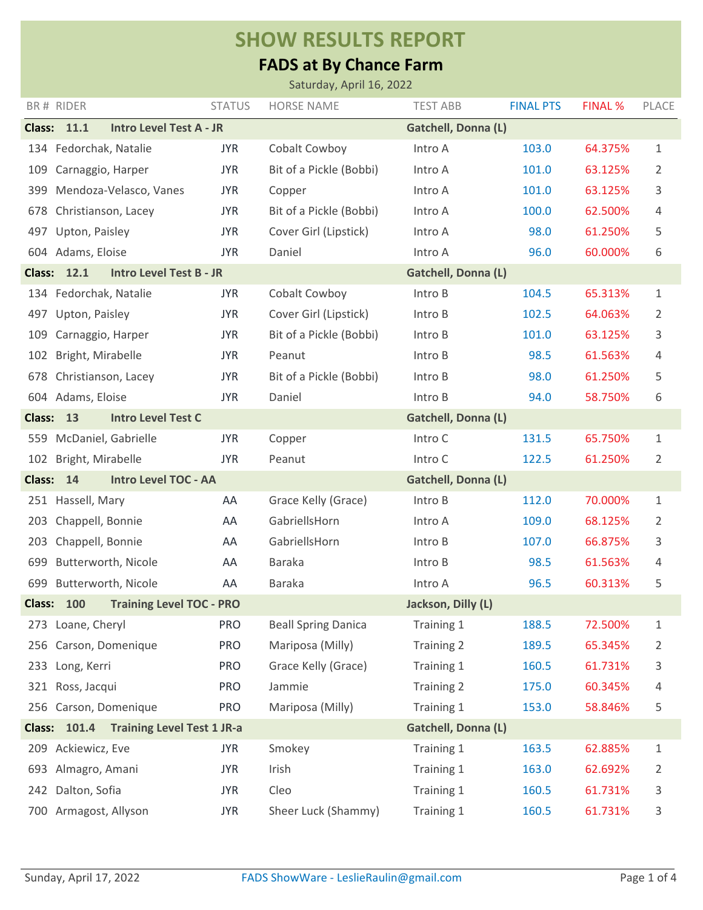## **SHOW RESULTS REPORT**

## **FADS at By Chance Farm**

| Saturday, April 16, 2022                                                               |                                                                                    |               |                            |                     |                  |                |              |
|----------------------------------------------------------------------------------------|------------------------------------------------------------------------------------|---------------|----------------------------|---------------------|------------------|----------------|--------------|
|                                                                                        | BR# RIDER                                                                          | <b>STATUS</b> | <b>HORSE NAME</b>          | <b>TEST ABB</b>     | <b>FINAL PTS</b> | <b>FINAL %</b> | PLACE        |
|                                                                                        | <b>Gatchell, Donna (L)</b><br><b>Class: 11.1</b><br><b>Intro Level Test A - JR</b> |               |                            |                     |                  |                |              |
|                                                                                        | 134 Fedorchak, Natalie                                                             | <b>JYR</b>    | Cobalt Cowboy              | Intro A             | 103.0            | 64.375%        | 1            |
| 109                                                                                    | Carnaggio, Harper                                                                  | <b>JYR</b>    | Bit of a Pickle (Bobbi)    | Intro A             | 101.0            | 63.125%        | 2            |
| 399                                                                                    | Mendoza-Velasco, Vanes                                                             | <b>JYR</b>    | Copper                     | Intro A             | 101.0            | 63.125%        | 3            |
| 678                                                                                    | Christianson, Lacey                                                                | <b>JYR</b>    | Bit of a Pickle (Bobbi)    | Intro A             | 100.0            | 62.500%        | 4            |
| 497                                                                                    | Upton, Paisley                                                                     | <b>JYR</b>    | Cover Girl (Lipstick)      | Intro A             | 98.0             | 61.250%        | 5            |
|                                                                                        | 604 Adams, Eloise                                                                  | <b>JYR</b>    | Daniel                     | Intro A             | 96.0             | 60.000%        | 6            |
|                                                                                        | <b>Class: 12.1</b><br><b>Intro Level Test B - JR</b>                               |               |                            | Gatchell, Donna (L) |                  |                |              |
|                                                                                        | 134 Fedorchak, Natalie                                                             | <b>JYR</b>    | Cobalt Cowboy              | Intro B             | 104.5            | 65.313%        | 1            |
| 497                                                                                    | Upton, Paisley                                                                     | <b>JYR</b>    | Cover Girl (Lipstick)      | Intro B             | 102.5            | 64.063%        | 2            |
| 109                                                                                    | Carnaggio, Harper                                                                  | <b>JYR</b>    | Bit of a Pickle (Bobbi)    | Intro B             | 101.0            | 63.125%        | 3            |
| 102                                                                                    | Bright, Mirabelle                                                                  | <b>JYR</b>    | Peanut                     | Intro B             | 98.5             | 61.563%        | 4            |
| 678                                                                                    | Christianson, Lacey                                                                | <b>JYR</b>    | Bit of a Pickle (Bobbi)    | Intro B             | 98.0             | 61.250%        | 5            |
|                                                                                        | 604 Adams, Eloise                                                                  | <b>JYR</b>    | Daniel                     | Intro B             | 94.0             | 58.750%        | 6            |
| <b>Intro Level Test C</b><br>Gatchell, Donna (L)<br><b>Class:</b><br>13                |                                                                                    |               |                            |                     |                  |                |              |
| 559                                                                                    | McDaniel, Gabrielle                                                                | <b>JYR</b>    | Copper                     | Intro C             | 131.5            | 65.750%        | 1            |
| 102                                                                                    | Bright, Mirabelle                                                                  | <b>JYR</b>    | Peanut                     | Intro C             | 122.5            | 61.250%        | 2            |
| <b>Class:</b>                                                                          | 14<br><b>Intro Level TOC - AA</b>                                                  |               |                            | Gatchell, Donna (L) |                  |                |              |
|                                                                                        | 251 Hassell, Mary                                                                  | AA            | Grace Kelly (Grace)        | Intro B             | 112.0            | 70.000%        | 1            |
| 203                                                                                    | Chappell, Bonnie                                                                   | AA            | GabriellsHorn              | Intro A             | 109.0            | 68.125%        | 2            |
| 203                                                                                    | Chappell, Bonnie                                                                   | AA            | GabriellsHorn              | Intro B             | 107.0            | 66.875%        | 3            |
| 699                                                                                    | Butterworth, Nicole                                                                | AA            | <b>Baraka</b>              | Intro B             | 98.5             | 61.563%        | 4            |
| 699                                                                                    | Butterworth, Nicole                                                                | AA            | <b>Baraka</b>              | Intro A             | 96.5             | 60.313%        | 5            |
|                                                                                        | <b>Class: 100</b><br><b>Training Level TOC - PRO</b>                               |               | Jackson, Dilly (L)         |                     |                  |                |              |
|                                                                                        | 273 Loane, Cheryl                                                                  | <b>PRO</b>    | <b>Beall Spring Danica</b> | Training 1          | 188.5            | 72.500%        | $\mathbf{1}$ |
| 256                                                                                    | Carson, Domenique                                                                  | <b>PRO</b>    | Mariposa (Milly)           | Training 2          | 189.5            | 65.345%        | 2            |
|                                                                                        | 233 Long, Kerri                                                                    | <b>PRO</b>    | Grace Kelly (Grace)        | Training 1          | 160.5            | 61.731%        | 3            |
|                                                                                        | 321 Ross, Jacqui                                                                   | <b>PRO</b>    | Jammie                     | Training 2          | 175.0            | 60.345%        | 4            |
| 256                                                                                    | Carson, Domenique                                                                  | <b>PRO</b>    | Mariposa (Milly)           | Training 1          | 153.0            | 58.846%        | 5            |
| <b>Training Level Test 1 JR-a</b><br><b>Gatchell, Donna (L)</b><br><b>Class: 101.4</b> |                                                                                    |               |                            |                     |                  |                |              |
| 209                                                                                    | Ackiewicz, Eve                                                                     | <b>JYR</b>    | Smokey                     | Training 1          | 163.5            | 62.885%        | $\mathbf{1}$ |
| 693                                                                                    | Almagro, Amani                                                                     | <b>JYR</b>    | Irish                      | Training 1          | 163.0            | 62.692%        | 2            |
| 242                                                                                    | Dalton, Sofia                                                                      | <b>JYR</b>    | Cleo                       | Training 1          | 160.5            | 61.731%        | 3            |
| 700                                                                                    | Armagost, Allyson                                                                  | <b>JYR</b>    | Sheer Luck (Shammy)        | Training 1          | 160.5            | 61.731%        | 3            |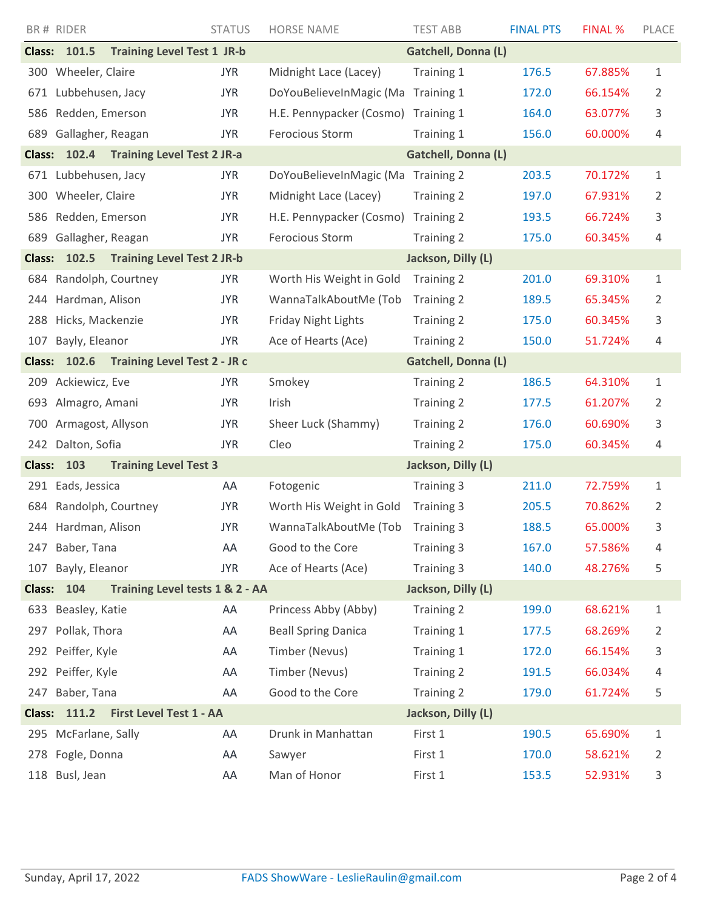|                                                            | BR# RIDER           |                                   | <b>STATUS</b> | <b>HORSE NAME</b>          | <b>TEST ABB</b>     | <b>FINAL PTS</b> | <b>FINAL %</b> | PLACE          |  |  |
|------------------------------------------------------------|---------------------|-----------------------------------|---------------|----------------------------|---------------------|------------------|----------------|----------------|--|--|
|                                                            | <b>Class: 101.5</b> | <b>Training Level Test 1 JR-b</b> |               |                            | Gatchell, Donna (L) |                  |                |                |  |  |
|                                                            | 300 Wheeler, Claire |                                   | <b>JYR</b>    | Midnight Lace (Lacey)      | Training 1          | 176.5            | 67.885%        | $\mathbf 1$    |  |  |
| 671                                                        | Lubbehusen, Jacy    |                                   | <b>JYR</b>    | DoYouBelieveInMagic (Ma    | Training 1          | 172.0            | 66.154%        | 2              |  |  |
| 586                                                        | Redden, Emerson     |                                   | <b>JYR</b>    | H.E. Pennypacker (Cosmo)   | Training 1          | 164.0            | 63.077%        | 3              |  |  |
| 689                                                        | Gallagher, Reagan   |                                   | <b>JYR</b>    | Ferocious Storm            | Training 1          | 156.0            | 60.000%        | 4              |  |  |
|                                                            | <b>Class: 102.4</b> | <b>Training Level Test 2 JR-a</b> |               |                            | Gatchell, Donna (L) |                  |                |                |  |  |
| 671                                                        | Lubbehusen, Jacy    |                                   | <b>JYR</b>    | DoYouBelieveInMagic (Ma    | Training 2          | 203.5            | 70.172%        | $\mathbf 1$    |  |  |
|                                                            | 300 Wheeler, Claire |                                   | <b>JYR</b>    | Midnight Lace (Lacey)      | <b>Training 2</b>   | 197.0            | 67.931%        | 2              |  |  |
| 586                                                        | Redden, Emerson     |                                   | <b>JYR</b>    | H.E. Pennypacker (Cosmo)   | Training 2          | 193.5            | 66.724%        | 3              |  |  |
| 689                                                        | Gallagher, Reagan   |                                   | <b>JYR</b>    | Ferocious Storm            | <b>Training 2</b>   | 175.0            | 60.345%        | 4              |  |  |
|                                                            | <b>Class: 102.5</b> | <b>Training Level Test 2 JR-b</b> |               | Jackson, Dilly (L)         |                     |                  |                |                |  |  |
| 684                                                        | Randolph, Courtney  |                                   | <b>JYR</b>    | Worth His Weight in Gold   | Training 2          | 201.0            | 69.310%        | 1              |  |  |
| 244                                                        | Hardman, Alison     |                                   | <b>JYR</b>    | WannaTalkAboutMe (Tob      | Training 2          | 189.5            | 65.345%        | 2              |  |  |
| 288                                                        | Hicks, Mackenzie    |                                   | <b>JYR</b>    | <b>Friday Night Lights</b> | <b>Training 2</b>   | 175.0            | 60.345%        | 3              |  |  |
| 107                                                        | Bayly, Eleanor      |                                   | <b>JYR</b>    | Ace of Hearts (Ace)        | Training 2          | 150.0            | 51.724%        | 4              |  |  |
| <b>Training Level Test 2 - JR c</b><br><b>Class: 102.6</b> |                     |                                   |               | Gatchell, Donna (L)        |                     |                  |                |                |  |  |
| 209                                                        | Ackiewicz, Eve      |                                   | <b>JYR</b>    | Smokey                     | Training 2          | 186.5            | 64.310%        | $\mathbf 1$    |  |  |
|                                                            | 693 Almagro, Amani  |                                   | <b>JYR</b>    | Irish                      | Training 2          | 177.5            | 61.207%        | 2              |  |  |
| 700                                                        | Armagost, Allyson   |                                   | <b>JYR</b>    | Sheer Luck (Shammy)        | Training 2          | 176.0            | 60.690%        | 3              |  |  |
| 242                                                        | Dalton, Sofia       |                                   | <b>JYR</b>    | Cleo                       | <b>Training 2</b>   | 175.0            | 60.345%        | 4              |  |  |
| <b>Class:</b><br>103<br><b>Training Level Test 3</b>       |                     |                                   |               |                            | Jackson, Dilly (L)  |                  |                |                |  |  |
| 291                                                        | Eads, Jessica       |                                   | AA            | Fotogenic                  | Training 3          | 211.0            | 72.759%        | $\mathbf 1$    |  |  |
| 684                                                        | Randolph, Courtney  |                                   | <b>JYR</b>    | Worth His Weight in Gold   | Training 3          | 205.5            | 70.862%        | 2              |  |  |
|                                                            | 244 Hardman, Alison |                                   | <b>JYR</b>    | WannaTalkAboutMe (Tob      | Training 3          | 188.5            | 65.000%        | 3              |  |  |
|                                                            | 247 Baber, Tana     |                                   | AA            | Good to the Core           | Training 3          | 167.0            | 57.586%        | 4              |  |  |
| 107                                                        | Bayly, Eleanor      |                                   | <b>JYR</b>    | Ace of Hearts (Ace)        | Training 3          | 140.0            | 48.276%        | 5              |  |  |
| Training Level tests 1 & 2 - AA<br><b>Class: 104</b>       |                     |                                   |               |                            | Jackson, Dilly (L)  |                  |                |                |  |  |
| 633                                                        | Beasley, Katie      |                                   | AA            | Princess Abby (Abby)       | <b>Training 2</b>   | 199.0            | 68.621%        | $\mathbf 1$    |  |  |
| 297                                                        | Pollak, Thora       |                                   | AA            | <b>Beall Spring Danica</b> | Training 1          | 177.5            | 68.269%        | $\overline{2}$ |  |  |
| 292                                                        | Peiffer, Kyle       |                                   | AA            | Timber (Nevus)             | Training 1          | 172.0            | 66.154%        | 3              |  |  |
| 292                                                        | Peiffer, Kyle       |                                   | AA            | Timber (Nevus)             | Training 2          | 191.5            | 66.034%        | 4              |  |  |
| 247                                                        | Baber, Tana         |                                   | AA            | Good to the Core           | Training 2          | 179.0            | 61.724%        | 5              |  |  |
| First Level Test 1 - AA<br><b>Class: 111.2</b>             |                     |                                   |               |                            | Jackson, Dilly (L)  |                  |                |                |  |  |
| 295                                                        | McFarlane, Sally    |                                   | AA            | Drunk in Manhattan         | First 1             | 190.5            | 65.690%        | $\mathbf 1$    |  |  |
| 278                                                        | Fogle, Donna        |                                   | AA            | Sawyer                     | First 1             | 170.0            | 58.621%        | $\overline{2}$ |  |  |
| 118                                                        | Busl, Jean          |                                   | AA            | Man of Honor               | First 1             | 153.5            | 52.931%        | $\mathsf{3}$   |  |  |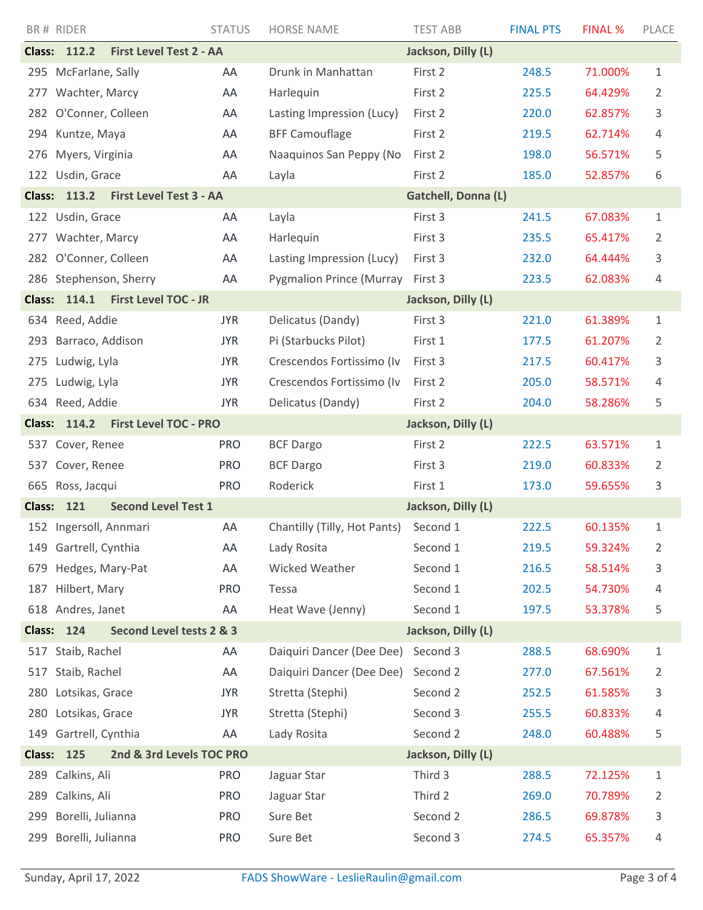|                                                    | BR# RIDER                                             | <b>STATUS</b> | <b>HORSE NAME</b>               | <b>TEST ABB</b>    | <b>FINAL PTS</b> | <b>FINAL %</b> | PLACE       |  |
|----------------------------------------------------|-------------------------------------------------------|---------------|---------------------------------|--------------------|------------------|----------------|-------------|--|
|                                                    | <b>First Level Test 2 - AA</b><br><b>Class: 112.2</b> |               |                                 | Jackson, Dilly (L) |                  |                |             |  |
|                                                    | 295 McFarlane, Sally                                  | AA            | Drunk in Manhattan              | First 2            | 248.5            | 71.000%        | 1           |  |
| 277                                                | Wachter, Marcy                                        | AA            | Harlequin                       | First 2            | 225.5            | 64.429%        | 2           |  |
|                                                    | 282 O'Conner, Colleen                                 | AA            | Lasting Impression (Lucy)       | First 2            | 220.0            | 62.857%        | 3           |  |
| 294                                                | Kuntze, Maya                                          | AA            | <b>BFF Camouflage</b>           | First 2            | 219.5            | 62.714%        | 4           |  |
| 276                                                | Myers, Virginia                                       | AA            | Naaquinos San Peppy (No         | First 2            | 198.0            | 56.571%        | 5           |  |
|                                                    | 122 Usdin, Grace                                      | AA            | Layla                           | First 2            | 185.0            | 52.857%        | 6           |  |
|                                                    | <b>Class: 113.2</b><br><b>First Level Test 3 - AA</b> |               | <b>Gatchell, Donna (L)</b>      |                    |                  |                |             |  |
|                                                    | 122 Usdin, Grace                                      | AA            | Layla                           | First 3            | 241.5            | 67.083%        | 1           |  |
| 277                                                | Wachter, Marcy                                        | AA            | Harlequin                       | First 3            | 235.5            | 65.417%        | 2           |  |
|                                                    | 282 O'Conner, Colleen                                 | AA            | Lasting Impression (Lucy)       | First 3            | 232.0            | 64.444%        | 3           |  |
|                                                    | 286 Stephenson, Sherry                                | AA            | <b>Pygmalion Prince (Murray</b> | First 3            | 223.5            | 62.083%        | 4           |  |
| <b>Class:</b>                                      | <b>First Level TOC - JR</b><br>114.1                  |               |                                 | Jackson, Dilly (L) |                  |                |             |  |
|                                                    | 634 Reed, Addie                                       | <b>JYR</b>    | Delicatus (Dandy)               | First 3            | 221.0            | 61.389%        | 1           |  |
| 293                                                | Barraco, Addison                                      | <b>JYR</b>    | Pi (Starbucks Pilot)            | First 1            | 177.5            | 61.207%        | 2           |  |
| 275                                                | Ludwig, Lyla                                          | <b>JYR</b>    | Crescendos Fortissimo (Iv       | First 3            | 217.5            | 60.417%        | 3           |  |
| 275                                                | Ludwig, Lyla                                          | <b>JYR</b>    | Crescendos Fortissimo (Iv       | First 2            | 205.0            | 58.571%        | 4           |  |
|                                                    | 634 Reed, Addie                                       | <b>JYR</b>    | Delicatus (Dandy)               | First 2            | 204.0            | 58.286%        | 5           |  |
| <b>Class:</b>                                      | <b>First Level TOC - PRO</b><br>114.2                 |               | Jackson, Dilly (L)              |                    |                  |                |             |  |
| 537                                                | Cover, Renee                                          | <b>PRO</b>    | <b>BCF Dargo</b>                | First 2            | 222.5            | 63.571%        | 1           |  |
| 537                                                | Cover, Renee                                          | <b>PRO</b>    | <b>BCF Dargo</b>                | First 3            | 219.0            | 60.833%        | 2           |  |
| 665                                                | Ross, Jacqui                                          | <b>PRO</b>    | Roderick                        | First 1            | 173.0            | 59.655%        | 3           |  |
| 121<br><b>Second Level Test 1</b><br><b>Class:</b> |                                                       |               | Jackson, Dilly (L)              |                    |                  |                |             |  |
|                                                    | 152 Ingersoll, Annmari                                | AA            | Chantilly (Tilly, Hot Pants)    | Second 1           | 222.5            | 60.135%        | 1           |  |
| 149                                                | Gartrell, Cynthia                                     | AA            | Lady Rosita                     | Second 1           | 219.5            | 59.324%        | 2           |  |
| 679                                                | Hedges, Mary-Pat                                      | AA            | Wicked Weather                  | Second 1           | 216.5            | 58.514%        | 3           |  |
| 187                                                | Hilbert, Mary                                         | <b>PRO</b>    | Tessa                           | Second 1           | 202.5            | 54.730%        | 4           |  |
|                                                    | 618 Andres, Janet                                     | AA            | Heat Wave (Jenny)               | Second 1           | 197.5            | 53.378%        | 5           |  |
| <b>Class:</b>                                      | Second Level tests 2 & 3<br>124                       |               | Jackson, Dilly (L)              |                    |                  |                |             |  |
| 517                                                | Staib, Rachel                                         | AA            | Daiquiri Dancer (Dee Dee)       | Second 3           | 288.5            | 68.690%        | $\mathbf 1$ |  |
| 517                                                | Staib, Rachel                                         | AA            | Daiquiri Dancer (Dee Dee)       | Second 2           | 277.0            | 67.561%        | 2           |  |
| 280                                                | Lotsikas, Grace                                       | <b>JYR</b>    | Stretta (Stephi)                | Second 2           | 252.5            | 61.585%        | 3           |  |
| 280                                                | Lotsikas, Grace                                       | <b>JYR</b>    | Stretta (Stephi)                | Second 3           | 255.5            | 60.833%        | 4           |  |
| 149                                                | Gartrell, Cynthia                                     | AA            | Lady Rosita                     | Second 2           | 248.0            | 60.488%        | 5           |  |
| <b>Class:</b>                                      | 2nd & 3rd Levels TOC PRO<br>125                       |               |                                 | Jackson, Dilly (L) |                  |                |             |  |
| 289                                                | Calkins, Ali                                          | <b>PRO</b>    | Jaguar Star                     | Third 3            | 288.5            | 72.125%        | $\mathbf 1$ |  |
| 289                                                | Calkins, Ali                                          | <b>PRO</b>    | Jaguar Star                     | Third 2            | 269.0            | 70.789%        | 2           |  |
| 299                                                | Borelli, Julianna                                     | <b>PRO</b>    | Sure Bet                        | Second 2           | 286.5            | 69.878%        | 3           |  |
| 299                                                | Borelli, Julianna                                     | <b>PRO</b>    | Sure Bet                        | Second 3           | 274.5            | 65.357%        | 4           |  |